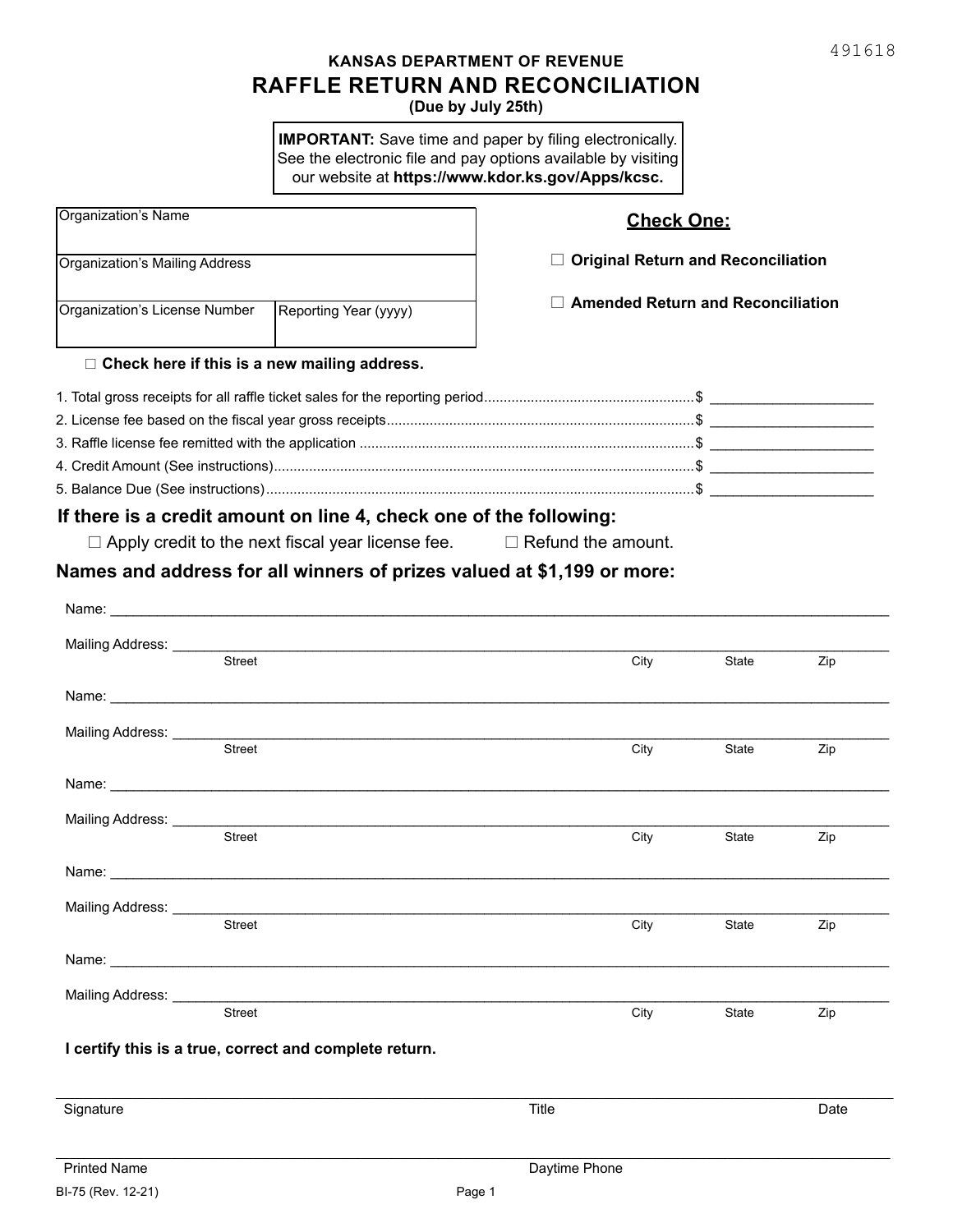## **RAFFLE RETURN AND RECONCILIATION (Due by July 25th) KANSAS DEPARTMENT OF REVENUE**

**IMPORTANT:** Save time and paper by filing electronically. See the electronic file and pay options available by visiting our website at **https://www.kdor.ks.gov/Apps/kcsc.**

| Organization's Name<br>Organization's Mailing Address  |                                                                                                                                                                                                                                | <b>Check One:</b><br>$\Box$ Original Return and Reconciliation |              |      |
|--------------------------------------------------------|--------------------------------------------------------------------------------------------------------------------------------------------------------------------------------------------------------------------------------|----------------------------------------------------------------|--------------|------|
|                                                        |                                                                                                                                                                                                                                |                                                                |              |      |
|                                                        |                                                                                                                                                                                                                                |                                                                |              |      |
| $\Box$ Check here if this is a new mailing address.    |                                                                                                                                                                                                                                |                                                                |              |      |
|                                                        |                                                                                                                                                                                                                                |                                                                |              |      |
|                                                        |                                                                                                                                                                                                                                |                                                                |              |      |
|                                                        |                                                                                                                                                                                                                                |                                                                |              |      |
|                                                        |                                                                                                                                                                                                                                |                                                                |              |      |
|                                                        |                                                                                                                                                                                                                                |                                                                |              |      |
|                                                        | If there is a credit amount on line 4, check one of the following:                                                                                                                                                             |                                                                |              |      |
|                                                        | $\Box$ Apply credit to the next fiscal year license fee.                                                                                                                                                                       | $\Box$ Refund the amount.                                      |              |      |
|                                                        | Names and address for all winners of prizes valued at \$1,199 or more:                                                                                                                                                         |                                                                |              |      |
|                                                        |                                                                                                                                                                                                                                |                                                                |              |      |
|                                                        |                                                                                                                                                                                                                                |                                                                |              |      |
|                                                        |                                                                                                                                                                                                                                |                                                                |              |      |
| Street                                                 |                                                                                                                                                                                                                                | City                                                           | State        | Zip  |
|                                                        |                                                                                                                                                                                                                                |                                                                |              |      |
|                                                        | Name: with a state of the contract of the contract of the contract of the contract of the contract of the contract of the contract of the contract of the contract of the contract of the contract of the contract of the cont |                                                                |              |      |
| Mailing Address: _________                             |                                                                                                                                                                                                                                |                                                                |              |      |
| <b>Street</b>                                          |                                                                                                                                                                                                                                | City                                                           | State        | Zip  |
|                                                        | Name: Name: Name: Name: Name: Name: Name: Name: Name: Name: Name: Name: Name: Name: Name: Name: Name: Name: Name: Name: Name: Name: Name: Name: Name: Name: Name: Name: Name: Name: Name: Name: Name: Name: Name: Name: Name:  |                                                                |              |      |
|                                                        |                                                                                                                                                                                                                                |                                                                |              |      |
| Mailing Address: ______                                |                                                                                                                                                                                                                                |                                                                |              |      |
| <b>Street</b>                                          |                                                                                                                                                                                                                                | City                                                           | <b>State</b> | Zip  |
|                                                        |                                                                                                                                                                                                                                |                                                                |              |      |
|                                                        |                                                                                                                                                                                                                                |                                                                |              |      |
| Mailing Address: _<br><b>Street</b>                    |                                                                                                                                                                                                                                | City                                                           | State        | Zip  |
|                                                        |                                                                                                                                                                                                                                |                                                                |              |      |
|                                                        |                                                                                                                                                                                                                                |                                                                |              |      |
| Mailing Address: ______                                |                                                                                                                                                                                                                                |                                                                |              |      |
| Street                                                 |                                                                                                                                                                                                                                | City                                                           | State        | Zip  |
|                                                        |                                                                                                                                                                                                                                |                                                                |              |      |
| I certify this is a true, correct and complete return. |                                                                                                                                                                                                                                |                                                                |              |      |
|                                                        |                                                                                                                                                                                                                                |                                                                |              |      |
| Signature                                              |                                                                                                                                                                                                                                | Title                                                          |              | Date |
|                                                        |                                                                                                                                                                                                                                |                                                                |              |      |
| <b>Printed Name</b>                                    |                                                                                                                                                                                                                                | Daytime Phone                                                  |              |      |